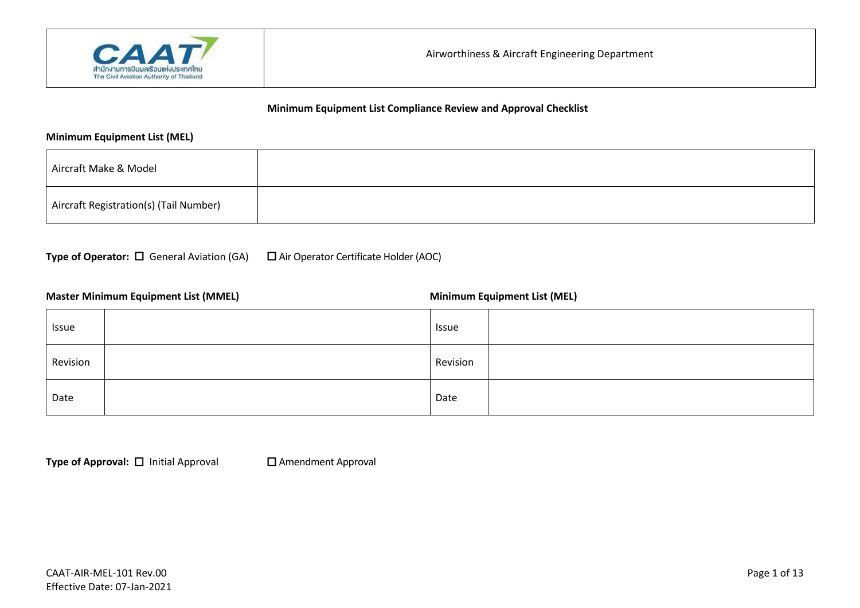

#### **Minimum Equipment List (MEL)**

| Aircraft Make & Model                  |  |
|----------------------------------------|--|
| Aircraft Registration(s) (Tail Number) |  |

**Type of Operator:** □ General Aviation (GA) □ Air Operator Certificate Holder (AOC)

#### **Master Minimum Equipment List (MMEL) Minimum Equipment List (MEL) Minimum Equipment List (MEL)**

| Issue    | Issue    |
|----------|----------|
| Revision | Revision |
| Date     | Date     |

**Type of Approval:** □ Initial Approval □ Amendment Approval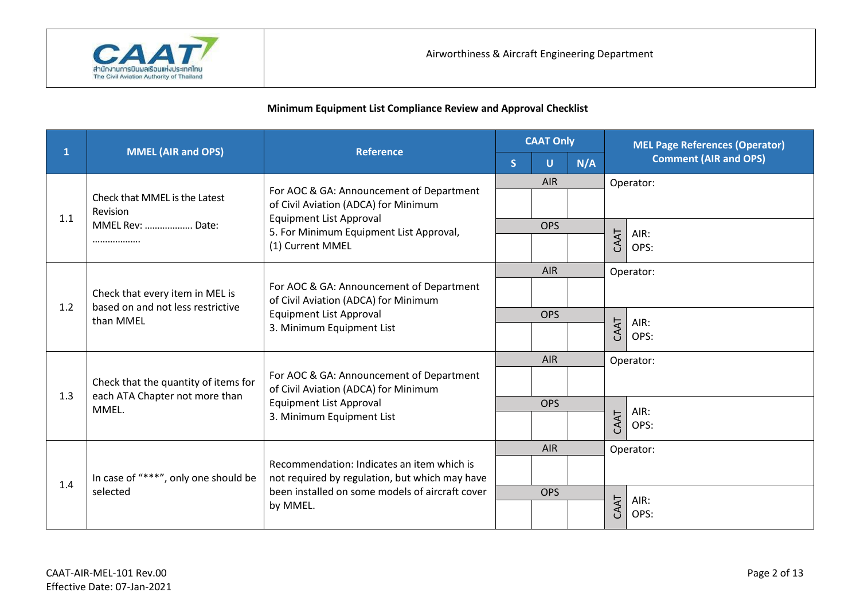

|              |                                                                                   | <b>Reference</b>                                                                                                                                | <b>CAAT Only</b> |            | <b>MEL Page References (Operator)</b> |           |                              |
|--------------|-----------------------------------------------------------------------------------|-------------------------------------------------------------------------------------------------------------------------------------------------|------------------|------------|---------------------------------------|-----------|------------------------------|
| $\mathbf{1}$ | <b>MMEL (AIR and OPS)</b>                                                         |                                                                                                                                                 | <sub>S</sub>     | U          | N/A                                   |           | <b>Comment (AIR and OPS)</b> |
|              |                                                                                   | For AOC & GA: Announcement of Department                                                                                                        |                  | <b>AIR</b> |                                       |           | Operator:                    |
| 1.1          | Check that MMEL is the Latest<br>Revision                                         | of Civil Aviation (ADCA) for Minimum<br><b>Equipment List Approval</b>                                                                          |                  |            |                                       |           |                              |
|              | MMEL Rev:  Date:                                                                  | 5. For Minimum Equipment List Approval,                                                                                                         |                  | <b>OPS</b> |                                       |           | AIR:                         |
|              |                                                                                   | (1) Current MMEL                                                                                                                                |                  |            |                                       | CAAT      | OPS:                         |
|              |                                                                                   |                                                                                                                                                 |                  | <b>AIR</b> |                                       |           | Operator:                    |
| 1.2          | Check that every item in MEL is<br>based on and not less restrictive<br>than MMEL | For AOC & GA: Announcement of Department<br>of Civil Aviation (ADCA) for Minimum<br><b>Equipment List Approval</b><br>3. Minimum Equipment List |                  |            |                                       |           |                              |
|              |                                                                                   |                                                                                                                                                 |                  | <b>OPS</b> |                                       | AIR:      |                              |
|              |                                                                                   |                                                                                                                                                 |                  |            |                                       | CAAT      | OPS:                         |
|              |                                                                                   |                                                                                                                                                 | <b>AIR</b>       |            |                                       | Operator: |                              |
| 1.3          | Check that the quantity of items for<br>each ATA Chapter not more than            | For AOC & GA: Announcement of Department<br>of Civil Aviation (ADCA) for Minimum                                                                |                  |            |                                       |           |                              |
|              | MMEL.                                                                             | <b>Equipment List Approval</b>                                                                                                                  |                  | <b>OPS</b> |                                       |           | AIR:                         |
|              |                                                                                   | 3. Minimum Equipment List                                                                                                                       |                  |            |                                       | CAAT      | OPS:                         |
|              |                                                                                   |                                                                                                                                                 |                  | <b>AIR</b> |                                       |           | Operator:                    |
| 1.4          | In case of "***", only one should be                                              | Recommendation: Indicates an item which is<br>not required by regulation, but which may have                                                    |                  |            |                                       |           |                              |
|              | selected                                                                          | been installed on some models of aircraft cover                                                                                                 | <b>OPS</b>       |            |                                       | AIR:      |                              |
|              |                                                                                   | by MMEL.                                                                                                                                        |                  |            |                                       | CAAT      | OPS:                         |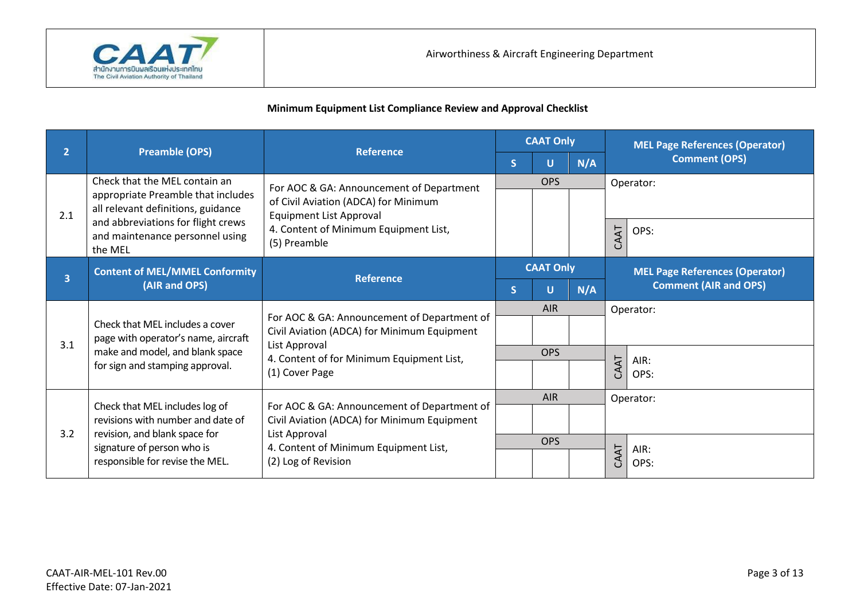

| $\overline{2}$ |                                                                                                | <b>Reference</b>                                                                                                                                         | <b>CAAT Only</b> |                         | <b>MEL Page References (Operator)</b> |                                                                       |           |  |  |
|----------------|------------------------------------------------------------------------------------------------|----------------------------------------------------------------------------------------------------------------------------------------------------------|------------------|-------------------------|---------------------------------------|-----------------------------------------------------------------------|-----------|--|--|
|                | <b>Preamble (OPS)</b>                                                                          |                                                                                                                                                          | <sub>S</sub>     | U                       | N/A                                   | <b>Comment (OPS)</b>                                                  |           |  |  |
|                | Check that the MEL contain an                                                                  | For AOC & GA: Announcement of Department                                                                                                                 |                  | <b>OPS</b><br>Operator: |                                       |                                                                       |           |  |  |
| 2.1            | appropriate Preamble that includes<br>all relevant definitions, guidance                       | of Civil Aviation (ADCA) for Minimum<br><b>Equipment List Approval</b>                                                                                   |                  |                         |                                       |                                                                       |           |  |  |
|                | and abbreviations for flight crews<br>and maintenance personnel using<br>the MEL               | 4. Content of Minimum Equipment List,<br>(5) Preamble                                                                                                    |                  |                         |                                       | CAAT                                                                  | OPS:      |  |  |
|                | <b>CAAT Only</b>                                                                               |                                                                                                                                                          |                  |                         |                                       |                                                                       |           |  |  |
| $\overline{3}$ | <b>Content of MEL/MMEL Conformity</b><br>(AIR and OPS)                                         | <b>Reference</b>                                                                                                                                         | S                | U                       | N/A                                   | <b>MEL Page References (Operator)</b><br><b>Comment (AIR and OPS)</b> |           |  |  |
|                | Check that MEL includes a cover<br>page with operator's name, aircraft                         | For AOC & GA: Announcement of Department of<br>Civil Aviation (ADCA) for Minimum Equipment<br>List Approval<br>4. Content of for Minimum Equipment List, | <b>AIR</b>       |                         |                                       | Operator:                                                             |           |  |  |
| 3.1            |                                                                                                |                                                                                                                                                          |                  |                         |                                       |                                                                       |           |  |  |
|                | make and model, and blank space                                                                |                                                                                                                                                          |                  | <b>OPS</b>              |                                       |                                                                       | AIR:      |  |  |
|                | for sign and stamping approval.                                                                | (1) Cover Page                                                                                                                                           |                  |                         |                                       | CAAT                                                                  | OPS:      |  |  |
|                | Check that MEL includes log of                                                                 | For AOC & GA: Announcement of Department of                                                                                                              |                  | AIR                     |                                       |                                                                       | Operator: |  |  |
|                | revisions with number and date of                                                              | Civil Aviation (ADCA) for Minimum Equipment                                                                                                              |                  |                         |                                       |                                                                       |           |  |  |
| 3.2            | revision, and blank space for<br>signature of person who is<br>responsible for revise the MEL. | List Approval<br>4. Content of Minimum Equipment List,<br>(2) Log of Revision                                                                            |                  | <b>OPS</b>              |                                       |                                                                       | AIR:      |  |  |
|                |                                                                                                |                                                                                                                                                          |                  |                         |                                       | CAAT                                                                  | OPS:      |  |  |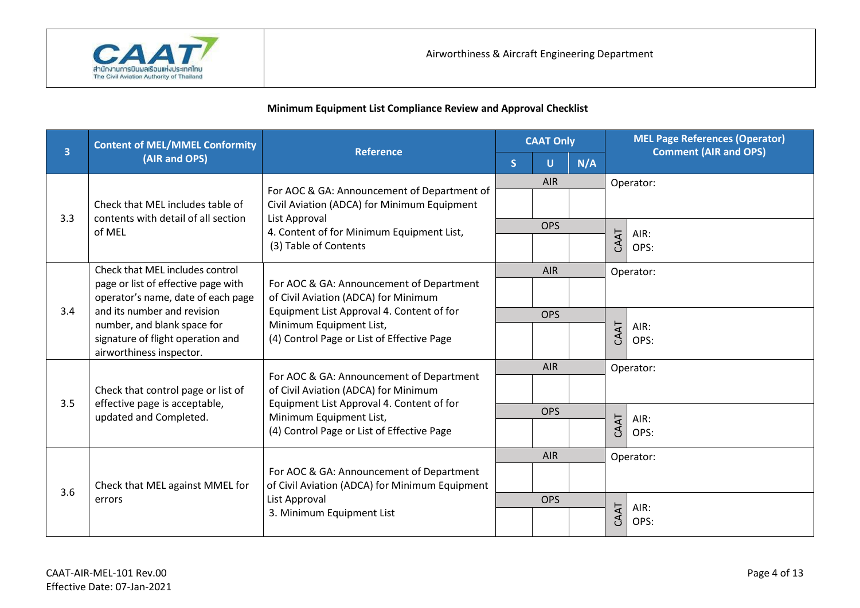

|     | <b>Content of MEL/MMEL Conformity</b>                                                                                       | <b>Reference</b>                                                                                                                                                                                       | <b>CAAT Only</b> |            | <b>Comment (AIR and OPS)</b> |      | <b>MEL Page References (Operator)</b> |
|-----|-----------------------------------------------------------------------------------------------------------------------------|--------------------------------------------------------------------------------------------------------------------------------------------------------------------------------------------------------|------------------|------------|------------------------------|------|---------------------------------------|
| 3   | (AIR and OPS)                                                                                                               |                                                                                                                                                                                                        | S.               | Ū          | N/A                          |      |                                       |
|     |                                                                                                                             | For AOC & GA: Announcement of Department of                                                                                                                                                            |                  | <b>AIR</b> |                              |      | Operator:                             |
|     | Check that MEL includes table of                                                                                            | Civil Aviation (ADCA) for Minimum Equipment<br>List Approval<br>4. Content of for Minimum Equipment List,<br>(3) Table of Contents                                                                     |                  |            |                              |      |                                       |
| 3.3 | contents with detail of all section<br>of MEL                                                                               |                                                                                                                                                                                                        |                  | <b>OPS</b> |                              |      | AIR:                                  |
|     |                                                                                                                             |                                                                                                                                                                                                        |                  |            |                              | CAAT | OPS:                                  |
|     | Check that MEL includes control                                                                                             |                                                                                                                                                                                                        |                  | <b>AIR</b> |                              |      | Operator:                             |
|     | page or list of effective page with<br>operator's name, date of each page                                                   | For AOC & GA: Announcement of Department<br>of Civil Aviation (ADCA) for Minimum<br>Equipment List Approval 4. Content of for<br>Minimum Equipment List,<br>(4) Control Page or List of Effective Page |                  |            |                              |      |                                       |
| 3.4 | and its number and revision<br>number, and blank space for<br>signature of flight operation and<br>airworthiness inspector. |                                                                                                                                                                                                        |                  | <b>OPS</b> |                              |      | AIR:<br>OPS:                          |
|     |                                                                                                                             |                                                                                                                                                                                                        |                  |            |                              | CAAT |                                       |
|     |                                                                                                                             |                                                                                                                                                                                                        |                  | <b>AIR</b> |                              |      | Operator:                             |
|     | Check that control page or list of                                                                                          | For AOC & GA: Announcement of Department<br>of Civil Aviation (ADCA) for Minimum                                                                                                                       |                  |            |                              |      |                                       |
| 3.5 | effective page is acceptable,<br>updated and Completed.                                                                     | Equipment List Approval 4. Content of for<br>Minimum Equipment List,                                                                                                                                   |                  | <b>OPS</b> |                              |      | AIR:                                  |
|     |                                                                                                                             | (4) Control Page or List of Effective Page                                                                                                                                                             |                  |            |                              | CAAT | OPS:                                  |
|     |                                                                                                                             |                                                                                                                                                                                                        |                  | <b>AIR</b> |                              |      | Operator:                             |
| 3.6 | Check that MEL against MMEL for                                                                                             | For AOC & GA: Announcement of Department<br>of Civil Aviation (ADCA) for Minimum Equipment                                                                                                             |                  |            |                              |      |                                       |
|     | errors                                                                                                                      | List Approval<br>3. Minimum Equipment List                                                                                                                                                             |                  | <b>OPS</b> |                              |      | AIR:<br>OPS:                          |
|     |                                                                                                                             |                                                                                                                                                                                                        |                  |            |                              | CAAT |                                       |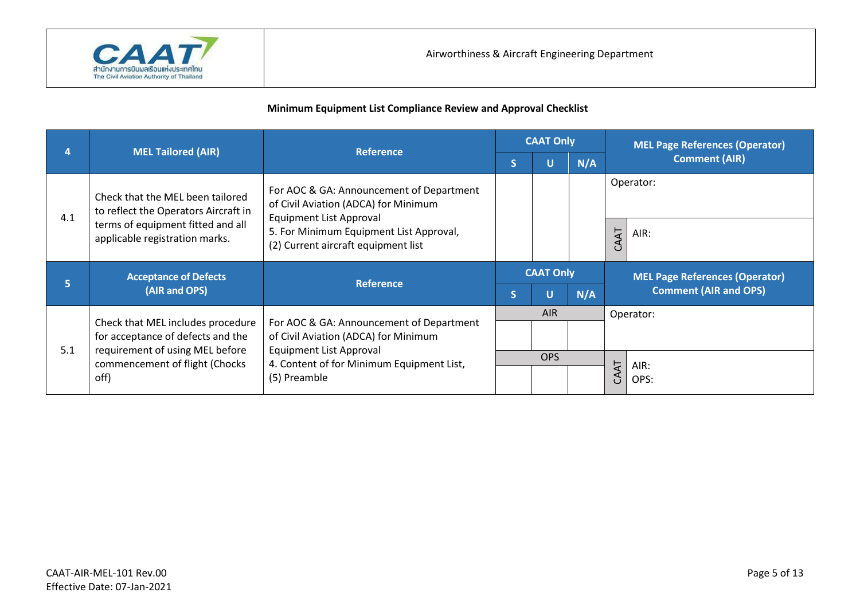

|     | <b>MEL Tailored (AIR)</b>                                                                                 | <b>Reference</b>                                                                                            | <b>CAAT Only</b> |      |     | <b>MEL Page References (Operator)</b> |  |
|-----|-----------------------------------------------------------------------------------------------------------|-------------------------------------------------------------------------------------------------------------|------------------|------|-----|---------------------------------------|--|
|     |                                                                                                           |                                                                                                             | S                |      | N/A | <b>Comment (AIR)</b>                  |  |
| 4.1 | Check that the MEL been tailored<br>to reflect the Operators Aircraft in                                  | For AOC & GA: Announcement of Department<br>of Civil Aviation (ADCA) for Minimum<br>Equipment List Approval |                  |      |     | Operator:                             |  |
|     | terms of equipment fitted and all<br>applicable registration marks.                                       | 5. For Minimum Equipment List Approval,<br>(2) Current aircraft equipment list                              |                  |      |     | CAAT<br>AIR:                          |  |
|     | <b>Acceptance of Defects</b>                                                                              |                                                                                                             | <b>CAAT Only</b> |      |     |                                       |  |
|     |                                                                                                           |                                                                                                             |                  |      |     | <b>MEL Page References (Operator)</b> |  |
| 5   | (AIR and OPS)                                                                                             | <b>Reference</b>                                                                                            | S                |      | N/A | <b>Comment (AIR and OPS)</b>          |  |
|     |                                                                                                           |                                                                                                             |                  | AIR. |     | Operator:                             |  |
| 5.1 | Check that MEL includes procedure<br>for acceptance of defects and the<br>requirement of using MEL before | For AOC & GA: Announcement of Department<br>of Civil Aviation (ADCA) for Minimum<br>Equipment List Approval |                  |      |     |                                       |  |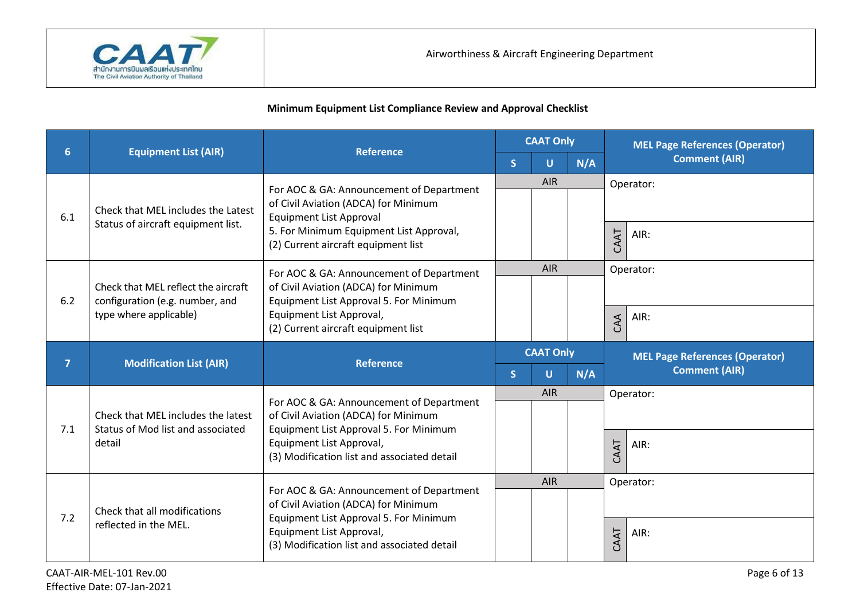

|                |                                                                        | <b>Reference</b>                                                                                                           | <b>CAAT Only</b>        |                  |     | <b>MEL Page References (Operator)</b> |  |                                                               |  |
|----------------|------------------------------------------------------------------------|----------------------------------------------------------------------------------------------------------------------------|-------------------------|------------------|-----|---------------------------------------|--|---------------------------------------------------------------|--|
| 6              | <b>Equipment List (AIR)</b>                                            |                                                                                                                            | $\overline{\mathsf{S}}$ | U                | N/A | <b>Comment (AIR)</b>                  |  |                                                               |  |
| 6.1            | Check that MEL includes the Latest                                     | For AOC & GA: Announcement of Department<br>of Civil Aviation (ADCA) for Minimum<br>Equipment List Approval                |                         | <b>AIR</b>       |     | Operator:                             |  |                                                               |  |
|                | Status of aircraft equipment list.                                     | 5. For Minimum Equipment List Approval,<br>(2) Current aircraft equipment list                                             |                         |                  |     | CAAT<br>AIR:                          |  |                                                               |  |
| 6.2            | Check that MEL reflect the aircraft<br>configuration (e.g. number, and | For AOC & GA: Announcement of Department<br>of Civil Aviation (ADCA) for Minimum<br>Equipment List Approval 5. For Minimum |                         | <b>AIR</b>       |     | Operator:                             |  |                                                               |  |
|                | type where applicable)                                                 | Equipment List Approval,<br>(2) Current aircraft equipment list                                                            |                         |                  |     | AIR:<br>CAA                           |  |                                                               |  |
| $\overline{7}$ | <b>Modification List (AIR)</b>                                         | <b>Reference</b>                                                                                                           |                         | <b>CAAT Only</b> |     |                                       |  | <b>MEL Page References (Operator)</b><br><b>Comment (AIR)</b> |  |
|                |                                                                        |                                                                                                                            | S                       | U                | N/A |                                       |  |                                                               |  |
| 7.1            | Check that MEL includes the latest                                     | For AOC & GA: Announcement of Department<br>of Civil Aviation (ADCA) for Minimum                                           |                         | <b>AIR</b>       |     | Operator:                             |  |                                                               |  |
|                | Status of Mod list and associated<br>detail                            | Equipment List Approval 5. For Minimum<br>Equipment List Approval,<br>(3) Modification list and associated detail          |                         |                  |     | CAAT<br>AIR:                          |  |                                                               |  |
|                |                                                                        | For AOC & GA: Announcement of Department                                                                                   |                         | AIR              |     | Operator:                             |  |                                                               |  |
| 7.2            | Check that all modifications                                           | of Civil Aviation (ADCA) for Minimum<br>Equipment List Approval 5. For Minimum                                             |                         |                  |     |                                       |  |                                                               |  |
|                | reflected in the MEL.                                                  | Equipment List Approval,<br>(3) Modification list and associated detail                                                    |                         |                  |     | CAAT<br>AIR:                          |  |                                                               |  |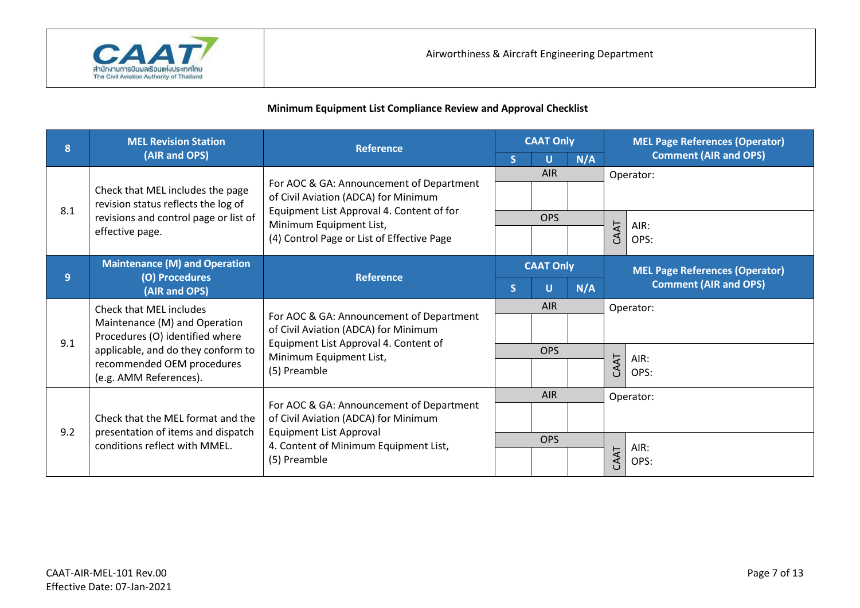

| 8   | <b>MEL Revision Station</b>                                                                 | <b>Reference</b>                                                                                                                                                     | <b>CAAT Only</b> |            |           | <b>MEL Page References (Operator)</b> |                              |
|-----|---------------------------------------------------------------------------------------------|----------------------------------------------------------------------------------------------------------------------------------------------------------------------|------------------|------------|-----------|---------------------------------------|------------------------------|
|     | (AIR and OPS)                                                                               |                                                                                                                                                                      |                  | U          | N/A       |                                       | <b>Comment (AIR and OPS)</b> |
|     |                                                                                             |                                                                                                                                                                      |                  | <b>AIR</b> |           |                                       | Operator:                    |
| 8.1 | Check that MEL includes the page<br>revision status reflects the log of                     | For AOC & GA: Announcement of Department<br>of Civil Aviation (ADCA) for Minimum<br>Equipment List Approval 4. Content of for                                        |                  |            |           |                                       |                              |
|     | revisions and control page or list of                                                       | Minimum Equipment List,                                                                                                                                              |                  | <b>OPS</b> |           |                                       | AIR:                         |
|     | effective page.                                                                             | (4) Control Page or List of Effective Page                                                                                                                           |                  |            |           | CAAT                                  | OPS:                         |
|     | <b>Maintenance (M) and Operation</b>                                                        |                                                                                                                                                                      | <b>CAAT Only</b> |            |           | <b>MEL Page References (Operator)</b> |                              |
| 9   | (O) Procedures<br>(AIR and OPS)                                                             | <b>Reference</b>                                                                                                                                                     | $\mathsf{S}$     | U          | N/A       |                                       | <b>Comment (AIR and OPS)</b> |
|     | Check that MEL includes<br>Maintenance (M) and Operation<br>Procedures (O) identified where | For AOC & GA: Announcement of Department<br>of Civil Aviation (ADCA) for Minimum<br>Equipment List Approval 4. Content of<br>Minimum Equipment List,<br>(5) Preamble | <b>AIR</b>       |            | Operator: |                                       |                              |
| 9.1 |                                                                                             |                                                                                                                                                                      |                  |            |           |                                       |                              |
|     | applicable, and do they conform to                                                          |                                                                                                                                                                      | <b>OPS</b>       |            |           | AIR:                                  |                              |
|     | recommended OEM procedures<br>(e.g. AMM References).                                        |                                                                                                                                                                      |                  |            |           | CAAT                                  | OPS:                         |
|     |                                                                                             |                                                                                                                                                                      |                  | <b>AIR</b> |           |                                       | Operator:                    |
| 9.2 | Check that the MEL format and the                                                           | For AOC & GA: Announcement of Department<br>of Civil Aviation (ADCA) for Minimum                                                                                     |                  |            |           |                                       |                              |
|     | presentation of items and dispatch<br>conditions reflect with MMEL.                         | <b>Equipment List Approval</b><br>4. Content of Minimum Equipment List,<br>(5) Preamble                                                                              |                  | <b>OPS</b> |           |                                       | AIR:                         |
|     |                                                                                             |                                                                                                                                                                      |                  |            |           | CAAT                                  | OPS:                         |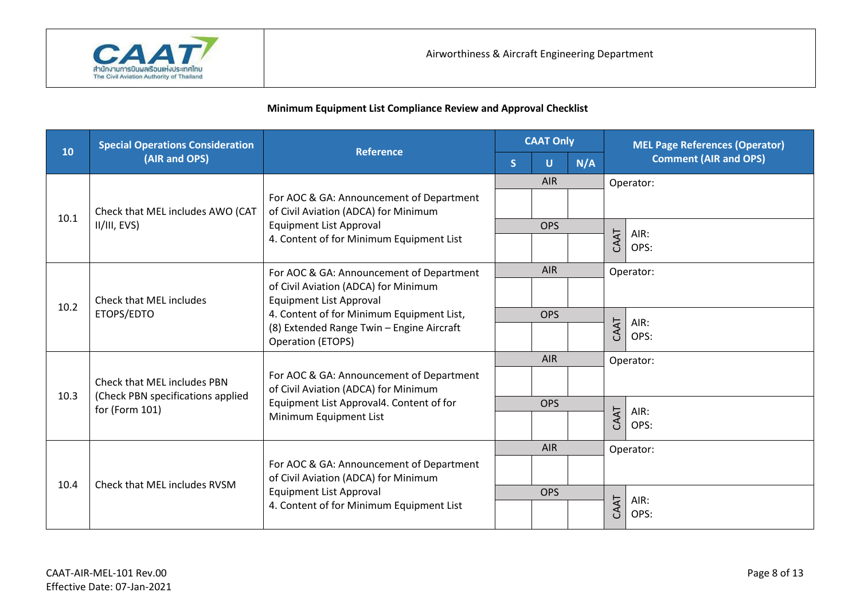

| 10   | <b>Special Operations Consideration</b>                          | <b>Reference</b>                                                                                                                                                                      | <b>CAAT Only</b> |            | <b>MEL Page References (Operator)</b> |           |                              |
|------|------------------------------------------------------------------|---------------------------------------------------------------------------------------------------------------------------------------------------------------------------------------|------------------|------------|---------------------------------------|-----------|------------------------------|
|      | (AIR and OPS)                                                    |                                                                                                                                                                                       | <sub>S</sub>     | U          | N/A                                   |           | <b>Comment (AIR and OPS)</b> |
|      |                                                                  |                                                                                                                                                                                       |                  | <b>AIR</b> |                                       |           | Operator:                    |
| 10.1 | Check that MEL includes AWO (CAT                                 | For AOC & GA: Announcement of Department<br>of Civil Aviation (ADCA) for Minimum<br><b>Equipment List Approval</b><br>4. Content of for Minimum Equipment List                        |                  |            |                                       |           |                              |
|      | II/III, EVS)                                                     |                                                                                                                                                                                       |                  | <b>OPS</b> |                                       |           | AIR:                         |
|      |                                                                  |                                                                                                                                                                                       |                  |            |                                       | CAAT      | OPS:                         |
|      |                                                                  | For AOC & GA: Announcement of Department                                                                                                                                              |                  | <b>AIR</b> |                                       |           | Operator:                    |
| 10.2 | Check that MEL includes<br>ETOPS/EDTO                            | of Civil Aviation (ADCA) for Minimum<br><b>Equipment List Approval</b><br>4. Content of for Minimum Equipment List,<br>(8) Extended Range Twin - Engine Aircraft<br>Operation (ETOPS) |                  |            |                                       |           |                              |
|      |                                                                  |                                                                                                                                                                                       |                  | <b>OPS</b> |                                       |           | AIR:                         |
|      |                                                                  |                                                                                                                                                                                       |                  |            |                                       | CAAT      | OPS:                         |
|      |                                                                  |                                                                                                                                                                                       | <b>AIR</b>       |            |                                       | Operator: |                              |
| 10.3 | Check that MEL includes PBN<br>(Check PBN specifications applied | For AOC & GA: Announcement of Department<br>of Civil Aviation (ADCA) for Minimum                                                                                                      |                  |            |                                       |           |                              |
|      | for (Form 101)                                                   | Equipment List Approval4. Content of for                                                                                                                                              |                  | <b>OPS</b> |                                       |           | AIR:                         |
|      |                                                                  | Minimum Equipment List                                                                                                                                                                |                  |            |                                       | CAAT      | OPS:                         |
|      |                                                                  |                                                                                                                                                                                       |                  | <b>AIR</b> |                                       |           | Operator:                    |
| 10.4 | Check that MEL includes RVSM                                     | For AOC & GA: Announcement of Department<br>of Civil Aviation (ADCA) for Minimum                                                                                                      |                  |            |                                       |           |                              |
|      |                                                                  | <b>Equipment List Approval</b><br>4. Content of for Minimum Equipment List                                                                                                            |                  | <b>OPS</b> |                                       |           | AIR:                         |
|      |                                                                  |                                                                                                                                                                                       |                  |            |                                       | CAAT      | OPS:                         |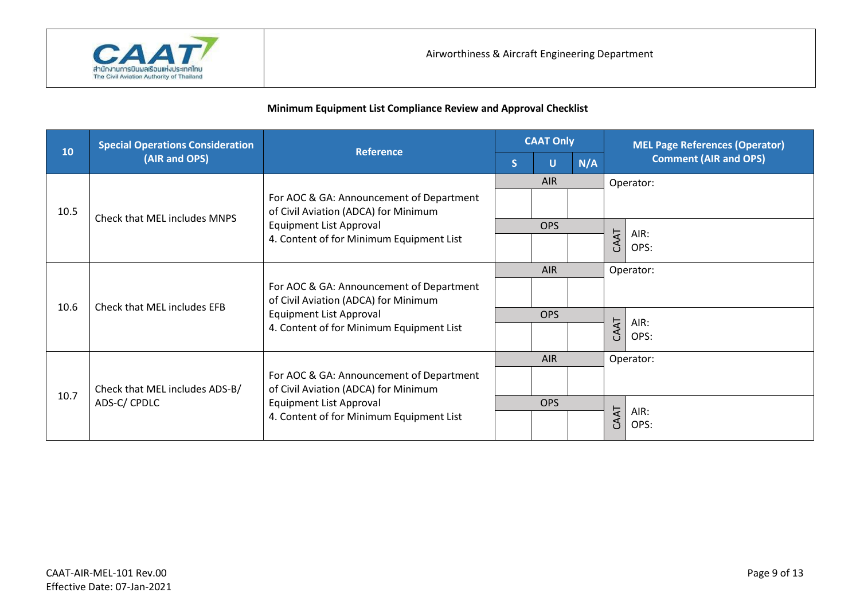

| 10   | <b>Special Operations Consideration</b> |                                                                                                                                                                | <b>CAAT Only</b> |            |     | <b>MEL Page References (Operator)</b> |  |
|------|-----------------------------------------|----------------------------------------------------------------------------------------------------------------------------------------------------------------|------------------|------------|-----|---------------------------------------|--|
|      | (AIR and OPS)                           | <b>Reference</b>                                                                                                                                               | S                | U          | N/A | <b>Comment (AIR and OPS)</b>          |  |
|      |                                         | For AOC & GA: Announcement of Department<br>of Civil Aviation (ADCA) for Minimum<br><b>Equipment List Approval</b><br>4. Content of for Minimum Equipment List |                  | <b>AIR</b> |     | Operator:                             |  |
| 10.5 | Check that MEL includes MNPS            |                                                                                                                                                                |                  |            |     |                                       |  |
|      |                                         |                                                                                                                                                                |                  | <b>OPS</b> |     | AIR:                                  |  |
|      |                                         |                                                                                                                                                                |                  |            |     | CAAT<br>OPS:                          |  |
|      | Check that MEL includes EFB             | For AOC & GA: Announcement of Department<br>of Civil Aviation (ADCA) for Minimum<br><b>Equipment List Approval</b><br>4. Content of for Minimum Equipment List |                  | <b>AIR</b> |     | Operator:                             |  |
| 10.6 |                                         |                                                                                                                                                                |                  |            |     |                                       |  |
|      |                                         |                                                                                                                                                                |                  | <b>OPS</b> |     | AIR:                                  |  |
|      |                                         |                                                                                                                                                                |                  |            |     | CAAT<br>OPS:                          |  |
|      |                                         |                                                                                                                                                                |                  | <b>AIR</b> |     | Operator:                             |  |
| 10.7 | Check that MEL includes ADS-B/          | For AOC & GA: Announcement of Department<br>of Civil Aviation (ADCA) for Minimum                                                                               |                  |            |     |                                       |  |
|      | ADS-C/CPDLC                             | <b>Equipment List Approval</b>                                                                                                                                 |                  | <b>OPS</b> |     | AIR:                                  |  |
|      |                                         | 4. Content of for Minimum Equipment List                                                                                                                       |                  |            |     | CAAT<br>OPS:                          |  |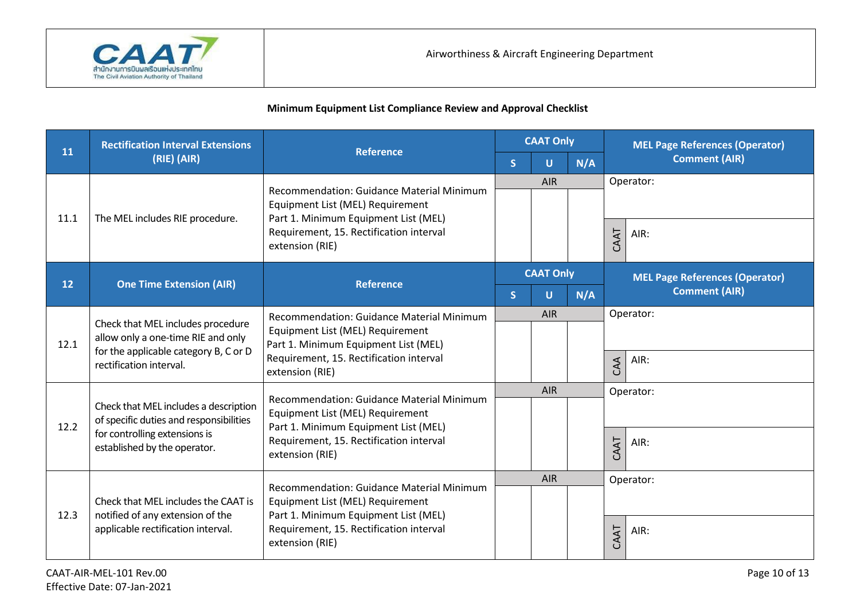

|      | <b>Rectification Interval Extensions</b>                                                                                                    | <b>Reference</b>                                                                                                                                                                    | <b>CAAT Only</b> |                  |                      | <b>MEL Page References (Operator)</b> |  |  |
|------|---------------------------------------------------------------------------------------------------------------------------------------------|-------------------------------------------------------------------------------------------------------------------------------------------------------------------------------------|------------------|------------------|----------------------|---------------------------------------|--|--|
| 11   | (RIE) (AIR)                                                                                                                                 |                                                                                                                                                                                     | <sub>S</sub>     | U                | N/A                  | <b>Comment (AIR)</b>                  |  |  |
|      |                                                                                                                                             | Recommendation: Guidance Material Minimum                                                                                                                                           |                  | AIR              |                      | Operator:                             |  |  |
| 11.1 | The MEL includes RIE procedure.                                                                                                             | Equipment List (MEL) Requirement<br>Part 1. Minimum Equipment List (MEL)                                                                                                            |                  |                  |                      |                                       |  |  |
|      | extension (RIE)                                                                                                                             | Requirement, 15. Rectification interval                                                                                                                                             |                  |                  |                      | CAAT<br>AIR:                          |  |  |
| 12   | <b>One Time Extension (AIR)</b>                                                                                                             | <b>Reference</b>                                                                                                                                                                    |                  | <b>CAAT Only</b> |                      | <b>MEL Page References (Operator)</b> |  |  |
|      |                                                                                                                                             | $\overline{\mathsf{S}}$                                                                                                                                                             | U                | N/A              | <b>Comment (AIR)</b> |                                       |  |  |
|      | Check that MEL includes procedure<br>allow only a one-time RIE and only<br>for the applicable category B, C or D<br>rectification interval. | Recommendation: Guidance Material Minimum<br>Equipment List (MEL) Requirement<br>Part 1. Minimum Equipment List (MEL)<br>Requirement, 15. Rectification interval<br>extension (RIE) |                  | AIR              |                      | Operator:                             |  |  |
| 12.1 |                                                                                                                                             |                                                                                                                                                                                     |                  |                  |                      |                                       |  |  |
|      |                                                                                                                                             |                                                                                                                                                                                     |                  |                  |                      | AIR:<br>CAA                           |  |  |
|      |                                                                                                                                             | Recommendation: Guidance Material Minimum                                                                                                                                           |                  | <b>AIR</b>       |                      | Operator:                             |  |  |
| 12.2 | Check that MEL includes a description<br>of specific duties and responsibilities                                                            | Equipment List (MEL) Requirement<br>Part 1. Minimum Equipment List (MEL)                                                                                                            |                  |                  |                      |                                       |  |  |
|      | for controlling extensions is<br>established by the operator.                                                                               | Requirement, 15. Rectification interval                                                                                                                                             |                  |                  |                      | CAAT<br>AIR:                          |  |  |
|      |                                                                                                                                             | extension (RIE)                                                                                                                                                                     |                  |                  |                      |                                       |  |  |
|      |                                                                                                                                             | Recommendation: Guidance Material Minimum                                                                                                                                           |                  | AIR              |                      | Operator:                             |  |  |
|      | Check that MEL includes the CAAT is                                                                                                         | Equipment List (MEL) Requirement                                                                                                                                                    |                  |                  |                      |                                       |  |  |
| 12.3 | notified of any extension of the<br>applicable rectification interval.                                                                      | Part 1. Minimum Equipment List (MEL)<br>Requirement, 15. Rectification interval                                                                                                     |                  |                  |                      | AIR:                                  |  |  |
|      |                                                                                                                                             | extension (RIE)                                                                                                                                                                     |                  |                  |                      | CAAT                                  |  |  |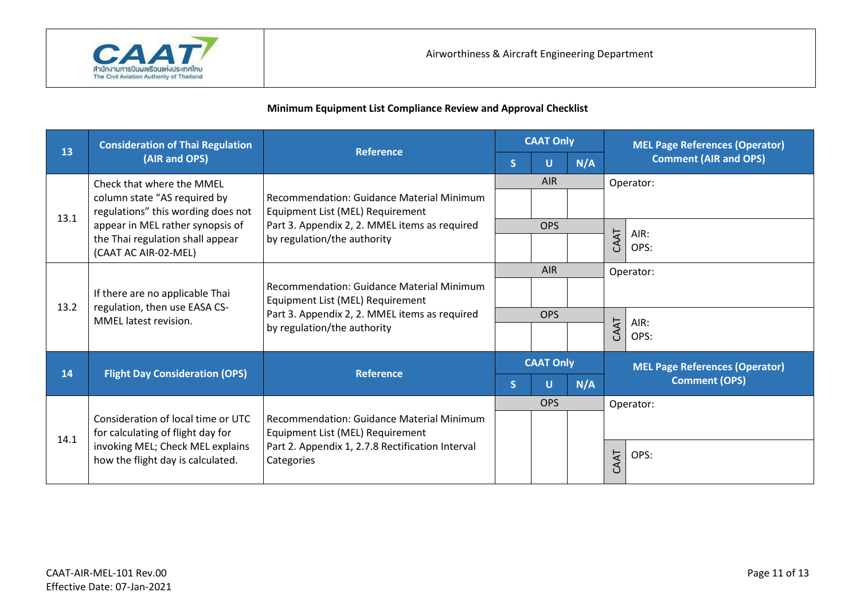

| 13   | <b>Consideration of Thai Regulation</b>                                                                | <b>Reference</b>                                                                                                                                              | <b>CAAT Only</b> |                  | <b>MEL Page References (Operator)</b> |      |                                       |  |
|------|--------------------------------------------------------------------------------------------------------|---------------------------------------------------------------------------------------------------------------------------------------------------------------|------------------|------------------|---------------------------------------|------|---------------------------------------|--|
|      | (AIR and OPS)                                                                                          |                                                                                                                                                               | S.               | U                | N/A                                   |      | <b>Comment (AIR and OPS)</b>          |  |
|      | Check that where the MMEL                                                                              |                                                                                                                                                               |                  | <b>AIR</b>       |                                       |      | Operator:                             |  |
| 13.1 | column state "AS required by<br>regulations" this wording does not<br>appear in MEL rather synopsis of | Recommendation: Guidance Material Minimum<br>Equipment List (MEL) Requirement                                                                                 |                  |                  |                                       |      |                                       |  |
|      |                                                                                                        | Part 3. Appendix 2, 2. MMEL items as required<br>by regulation/the authority                                                                                  |                  | <b>OPS</b>       |                                       |      | AIR:                                  |  |
|      | the Thai regulation shall appear<br>(CAAT AC AIR-02-MEL)                                               |                                                                                                                                                               |                  |                  |                                       | CAAT | OPS:                                  |  |
|      | If there are no applicable Thai<br>regulation, then use EASA CS-<br>MMEL latest revision.              | Recommendation: Guidance Material Minimum<br>Equipment List (MEL) Requirement<br>Part 3. Appendix 2, 2. MMEL items as required<br>by regulation/the authority |                  | <b>AIR</b>       |                                       |      | Operator:                             |  |
|      |                                                                                                        |                                                                                                                                                               |                  |                  |                                       |      |                                       |  |
| 13.2 |                                                                                                        |                                                                                                                                                               | <b>OPS</b>       |                  |                                       |      | AIR:                                  |  |
|      |                                                                                                        |                                                                                                                                                               |                  |                  |                                       | CAAT | OPS:                                  |  |
| 14   |                                                                                                        | <b>Reference</b>                                                                                                                                              |                  | <b>CAAT Only</b> |                                       |      | <b>MEL Page References (Operator)</b> |  |
|      | <b>Flight Day Consideration (OPS)</b>                                                                  |                                                                                                                                                               | S.               | U                | N/A                                   |      | <b>Comment (OPS)</b>                  |  |
|      |                                                                                                        |                                                                                                                                                               |                  | <b>OPS</b>       |                                       |      | Operator:                             |  |
|      | Consideration of local time or UTC<br>for calculating of flight day for                                | Recommendation: Guidance Material Minimum<br>Equipment List (MEL) Requirement                                                                                 |                  |                  |                                       |      |                                       |  |
| 14.1 | invoking MEL; Check MEL explains<br>how the flight day is calculated.                                  | Part 2. Appendix 1, 2.7.8 Rectification Interval<br>Categories                                                                                                |                  |                  |                                       | CAAT | OPS:                                  |  |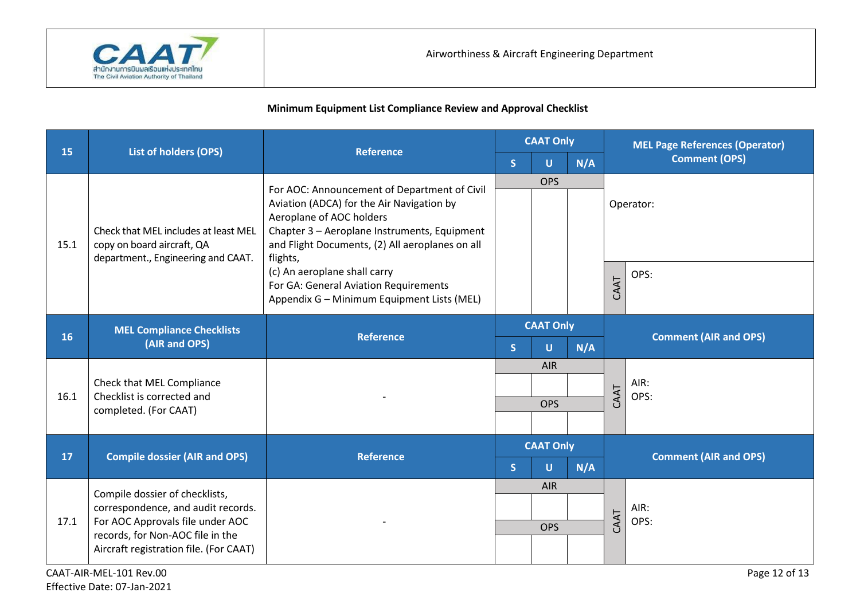

|      |                                                                                                                |                                                                                                                                                                                                                                                                                                                                                             | <b>CAAT Only</b> |            |      | <b>MEL Page References (Operator)</b> |                              |  |
|------|----------------------------------------------------------------------------------------------------------------|-------------------------------------------------------------------------------------------------------------------------------------------------------------------------------------------------------------------------------------------------------------------------------------------------------------------------------------------------------------|------------------|------------|------|---------------------------------------|------------------------------|--|
| 15   | List of holders (OPS)                                                                                          | <b>Reference</b>                                                                                                                                                                                                                                                                                                                                            | S                | U          | N/A  |                                       | <b>Comment (OPS)</b>         |  |
| 15.1 | Check that MEL includes at least MEL<br>copy on board aircraft, QA<br>department., Engineering and CAAT.       | For AOC: Announcement of Department of Civil<br>Aviation (ADCA) for the Air Navigation by<br>Aeroplane of AOC holders<br>Chapter 3 - Aeroplane Instruments, Equipment<br>and Flight Documents, (2) All aeroplanes on all<br>flights,<br>(c) An aeroplane shall carry<br>For GA: General Aviation Requirements<br>Appendix G - Minimum Equipment Lists (MEL) | <b>OPS</b>       |            |      |                                       |                              |  |
|      |                                                                                                                |                                                                                                                                                                                                                                                                                                                                                             |                  |            |      | Operator:                             |                              |  |
|      |                                                                                                                |                                                                                                                                                                                                                                                                                                                                                             |                  |            |      | CAAT                                  | OPS:                         |  |
|      | <b>MEL Compliance Checklists</b><br>(AIR and OPS)                                                              | <b>Reference</b>                                                                                                                                                                                                                                                                                                                                            | <b>CAAT Only</b> |            |      |                                       |                              |  |
| 16   |                                                                                                                |                                                                                                                                                                                                                                                                                                                                                             | S.               | U          | N/A  |                                       | <b>Comment (AIR and OPS)</b> |  |
| 16.1 | Check that MEL Compliance<br>Checklist is corrected and<br>completed. (For CAAT)                               |                                                                                                                                                                                                                                                                                                                                                             |                  | <b>AIR</b> |      |                                       | AIR:                         |  |
|      |                                                                                                                |                                                                                                                                                                                                                                                                                                                                                             |                  |            |      |                                       |                              |  |
|      |                                                                                                                |                                                                                                                                                                                                                                                                                                                                                             | <b>OPS</b>       |            |      | CAAT<br>OPS:                          |                              |  |
|      |                                                                                                                |                                                                                                                                                                                                                                                                                                                                                             |                  |            |      |                                       |                              |  |
|      | <b>Compile dossier (AIR and OPS)</b>                                                                           | <b>Reference</b>                                                                                                                                                                                                                                                                                                                                            | <b>CAAT Only</b> |            |      |                                       |                              |  |
| 17   |                                                                                                                |                                                                                                                                                                                                                                                                                                                                                             | S.               | U          | N/A  |                                       | <b>Comment (AIR and OPS)</b> |  |
| 17.1 | Compile dossier of checklists,                                                                                 |                                                                                                                                                                                                                                                                                                                                                             |                  | <b>AIR</b> |      |                                       |                              |  |
|      | correspondence, and audit records.                                                                             |                                                                                                                                                                                                                                                                                                                                                             |                  |            |      |                                       | AIR:                         |  |
|      | For AOC Approvals file under AOC<br>records, for Non-AOC file in the<br>Aircraft registration file. (For CAAT) |                                                                                                                                                                                                                                                                                                                                                             | <b>OPS</b>       |            | CAAT | OPS:                                  |                              |  |
|      |                                                                                                                |                                                                                                                                                                                                                                                                                                                                                             |                  |            |      |                                       |                              |  |
|      | CAAT-AIR-MEL-101 Rev.00                                                                                        |                                                                                                                                                                                                                                                                                                                                                             |                  |            |      |                                       | Page 12 of 13                |  |